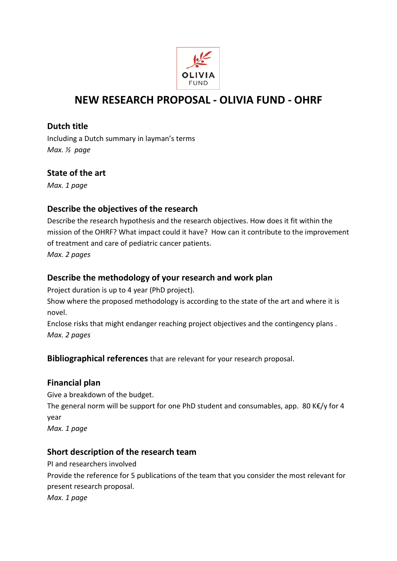

# **NEW RESEARCH PROPOSAL - OLIVIA FUND - OHRF**

#### **Dutch title**

Including a Dutch summary in layman's terms *Max. ½ page*

## **State of the art**

*Max. 1 page*

## **Describe the objectives of the research**

Describe the research hypothesis and the research objectives. How does it fit within the mission of the OHRF? What impact could it have? How can it contribute to the improvement of treatment and care of pediatric cancer patients.

*Max. 2 pages* 

## **Describe the methodology of your research and work plan**

Project duration is up to 4 year (PhD project).

Show where the proposed methodology is according to the state of the art and where it is novel.

Enclose risks that might endanger reaching project objectives and the contingency plans . *Max. 2 pages*

**Bibliographical references** that are relevant for your research proposal.

## **Financial plan**

Give a breakdown of the budget. The general norm will be support for one PhD student and consumables, app. 80 K€/y for 4 year *Max. 1 page*

## **Short description of the research team**

PI and researchers involved Provide the reference for 5 publications of the team that you consider the most relevant for present research proposal. *Max. 1 page*